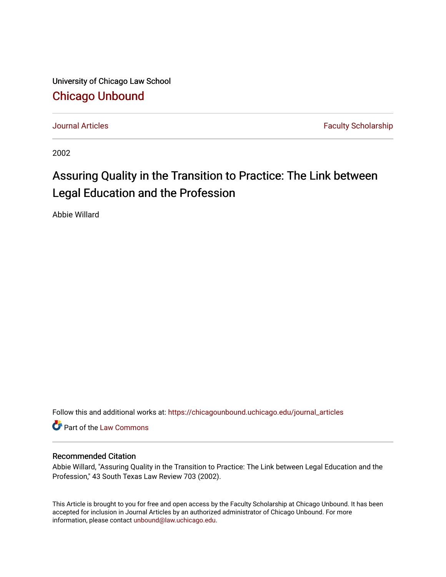University of Chicago Law School [Chicago Unbound](https://chicagounbound.uchicago.edu/)

[Journal Articles](https://chicagounbound.uchicago.edu/journal_articles) **Faculty Scholarship Journal Articles** 

2002

# Assuring Quality in the Transition to Practice: The Link between Legal Education and the Profession

Abbie Willard

Follow this and additional works at: [https://chicagounbound.uchicago.edu/journal\\_articles](https://chicagounbound.uchicago.edu/journal_articles?utm_source=chicagounbound.uchicago.edu%2Fjournal_articles%2F2037&utm_medium=PDF&utm_campaign=PDFCoverPages) 

Part of the [Law Commons](http://network.bepress.com/hgg/discipline/578?utm_source=chicagounbound.uchicago.edu%2Fjournal_articles%2F2037&utm_medium=PDF&utm_campaign=PDFCoverPages)

#### Recommended Citation

Abbie Willard, "Assuring Quality in the Transition to Practice: The Link between Legal Education and the Profession," 43 South Texas Law Review 703 (2002).

This Article is brought to you for free and open access by the Faculty Scholarship at Chicago Unbound. It has been accepted for inclusion in Journal Articles by an authorized administrator of Chicago Unbound. For more information, please contact [unbound@law.uchicago.edu](mailto:unbound@law.uchicago.edu).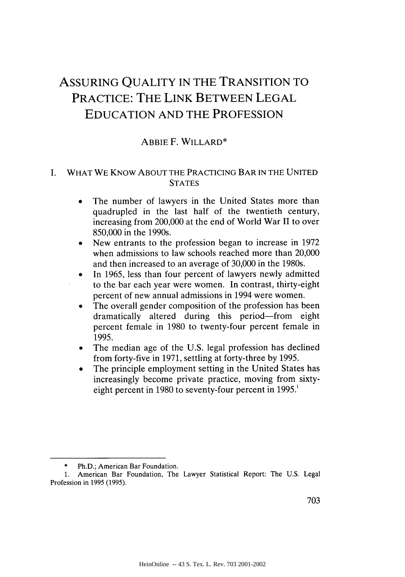# ASSURING QUALITY IN THE TRANSITION TO PRACTICE: THE LINK BETWEEN LEGAL EDUCATION AND THE PROFESSION

#### ABBIE F. WILLARD\*

#### I. WHAT WE KNOW ABOUT THE PRACTICING BAR IN THE UNITED **STATES**

- The number of lawyers in the United States more than quadrupled in the last half of the twentieth century, increasing from 200,000 at the end of World War II to over 850,000 in the 1990s.
- New entrants to the profession began to increase in 1972 when admissions to law schools reached more than 20,000 and then increased to an average of 30,000 in the 1980s.
- In 1965, less than four percent of lawyers newly admitted to the bar each year were women. In contrast, thirty-eight percent of new annual admissions in 1994 were women.
- The overall gender composition of the profession has been dramatically altered during this period-from eight percent female in 1980 to twenty-four percent female in 1995.
- The median age of the U.S. legal profession has declined from forty-five in 1971, settling at forty-three by 1995.
- The principle employment setting in the United States has increasingly become private practice, moving from sixtyeight percent in 1980 to seventy-four percent in 1995.'

Ph.D.; American Bar Foundation.

**<sup>1.</sup>** American Bar Foundation, The Lawyer Statistical Report: The U.S. Legal Profession in 1995 (1995).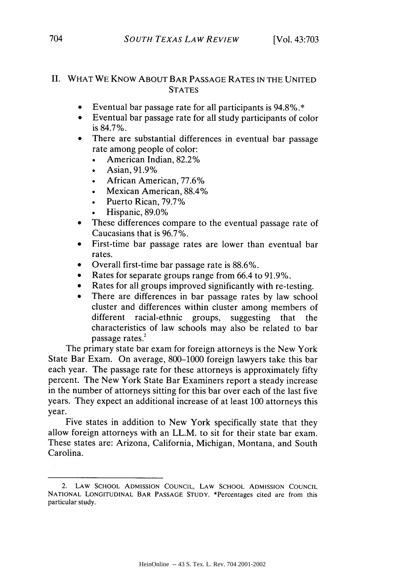#### **II.** WHAT WE KNOW **ABOUT** BAR **PASSAGE** RATES **IN** THE **UNITED STATES**

- \* Eventual bar passage rate for all participants is 94.8%.\*
- Eventual bar passage rate for all study participants of color is 84.7%.
- There are substantial differences in eventual bar passage rate among people of color:
	- \* American Indian, 82.2%
	- Asian, 91.9%
	- African American, 77.6%
	- Mexican American, 88.4%
	- \* Puerto Rican, 79.7%
	- Hispanic, 89.0%
- These differences compare to the eventual passage rate of Caucasians that is 96.7%.
- **"** First-time bar passage rates are lower than eventual bar rates.
- Overall first-time bar passage rate is 88.6%.
- Rates for separate groups range from 66.4 to 91.9%.
- Rates for all groups improved significantly with re-testing.
- There are differences in bar passage rates by law school cluster and differences within cluster among members of different racial-ethnic groups, suggesting that the characteristics of law schools may also be related to bar passage rates.<sup>2</sup>

The primary state bar exam for foreign attorneys is the New York State Bar Exam. On average, 800-1000 foreign lawyers take this bar each year. The passage rate for these attorneys is approximately fifty percent. The New York State Bar Examiners report a steady increase in the number of attorneys sitting for this bar over each of the last five years. They expect an additional increase of at least 100 attorneys this year.

Five states in addition to New York specifically state that they allow foreign attorneys with an LL.M. to sit for their state bar exam. These states are: Arizona, California, Michigan, Montana, and South Carolina.

<sup>2.</sup> LAW **SCHOOL ADMISSION COUNCIL,** LAW **SCHOOL ADMISSION COUNCIL NATIONAL LONGITUDINAL** BAR **PASSAGE STUDY.** \*Percentages cited are from this particular study.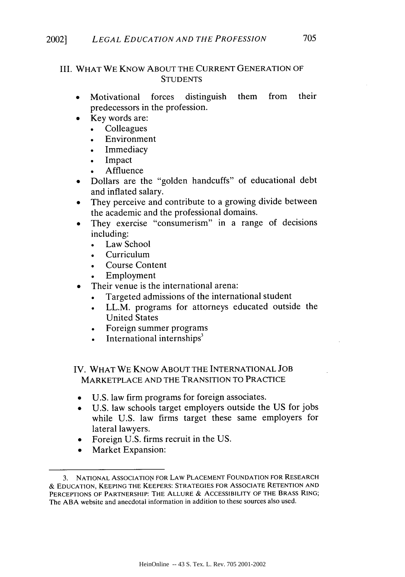### III. WHAT WE KNOW ABOUT THE CURRENT GENERATION OF **STUDENTS**

- **"** Motivational forces distinguish them from their predecessors in the profession.
	- Key words are:
		- **Colleagues**
		- Environment
		- **Immediacy**
		- Impact
		- **Affluence**
- Dollars are the "golden handcuffs" of educational debt and inflated salary.
- They perceive and contribute to a growing divide between the academic and the professional domains.
- They exercise "consumerism" in a range of decisions including:
	- Law School
	- Curriculum
	- Course Content
	- **Employment**
	- Their venue is the international arena:
		- Targeted admissions of the international student
		- LL.M. programs for attorneys educated outside the United States
		- Foreign summer programs
		- International internships $3$

## IV. WHAT WE KNOW ABOUT THE INTERNATIONAL JOB MARKETPLACE AND THE TRANSITION TO PRACTICE

- U.S. law firm programs for foreign associates.
- U.S. law schools target employers outside the US for jobs while U.S. law firms target these same employers for lateral lawyers.
- Foreign U.S. firms recruit in the US.
- **Market Expansion:**

<sup>3.</sup> **NATIONAL** ASSOCIATION FOR LAW **PLACEMENT** FOUNDATION FOR RESEARCH & **EDUCATION, KEEPING** THE KEEPERS: **STRATEGIES** FOR **ASSOCIATE RETENTION AND** PERCEPTIONS OF PARTNERSHIP: THE **ALLURE** & **ACCESSIBILITY** OF THE BRASS RING; The ABA website and anecdotal information in addition to these sources also used.